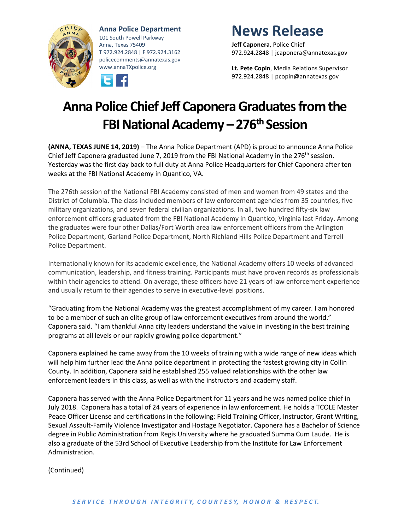

**Anna Police Department** 101 South Powell Parkway Anna, Texas 75409 T 972.924.2848 | F 972.924.3162 policecomments@annatexas.gov www.annaTXpolice.org



## **News Release**

**Jeff Caponera**, Police Chief 972.924.2848 | jcaponera@annatexas.gov

**Lt. Pete Copin**, Media Relations Supervisor 972.924.2848 | pcopin@annatexas.gov

## **Anna Police Chief Jeff Caponera Graduates from the FBI National Academy – 276th Session**

**(ANNA, TEXAS JUNE 14, 2019)** – The Anna Police Department (APD) is proud to announce Anna Police Chief Jeff Caponera graduated June 7, 2019 from the FBI National Academy in the 276<sup>th</sup> session. Yesterday was the first day back to full duty at Anna Police Headquarters for Chief Caponera after ten weeks at the FBI National Academy in Quantico, VA.

The 276th session of the National FBI Academy consisted of men and women from 49 states and the District of Columbia. The class included members of law enforcement agencies from 35 countries, five military organizations, and seven federal civilian organizations. In all, two hundred fifty-six law enforcement officers graduated from the FBI National Academy in Quantico, Virginia last Friday. Among the graduates were four other Dallas/Fort Worth area law enforcement officers from the Arlington Police Department, Garland Police Department, North Richland Hills Police Department and Terrell Police Department.

Internationally known for its academic excellence, the National Academy offers 10 weeks of advanced communication, leadership, and fitness training. Participants must have proven records as professionals within their agencies to attend. On average, these officers have 21 years of law enforcement experience and usually return to their agencies to serve in executive-level positions.

"Graduating from the National Academy was the greatest accomplishment of my career. I am honored to be a member of such an elite group of law enforcement executives from around the world." Caponera said. "I am thankful Anna city leaders understand the value in investing in the best training programs at all levels or our rapidly growing police department."

Caponera explained he came away from the 10 weeks of training with a wide range of new ideas which will help him further lead the Anna police department in protecting the fastest growing city in Collin County. In addition, Caponera said he established 255 valued relationships with the other law enforcement leaders in this class, as well as with the instructors and academy staff.

Caponera has served with the Anna Police Department for 11 years and he was named police chief in July 2018. Caponera has a total of 24 years of experience in law enforcement. He holds a TCOLE Master Peace Officer License and certifications in the following: Field Training Officer, Instructor, Grant Writing, Sexual Assault-Family Violence Investigator and Hostage Negotiator. Caponera has a Bachelor of Science degree in Public Administration from Regis University where he graduated Summa Cum Laude. He is also a graduate of the 53rd School of Executive Leadership from the Institute for Law Enforcement Administration.

(Continued)